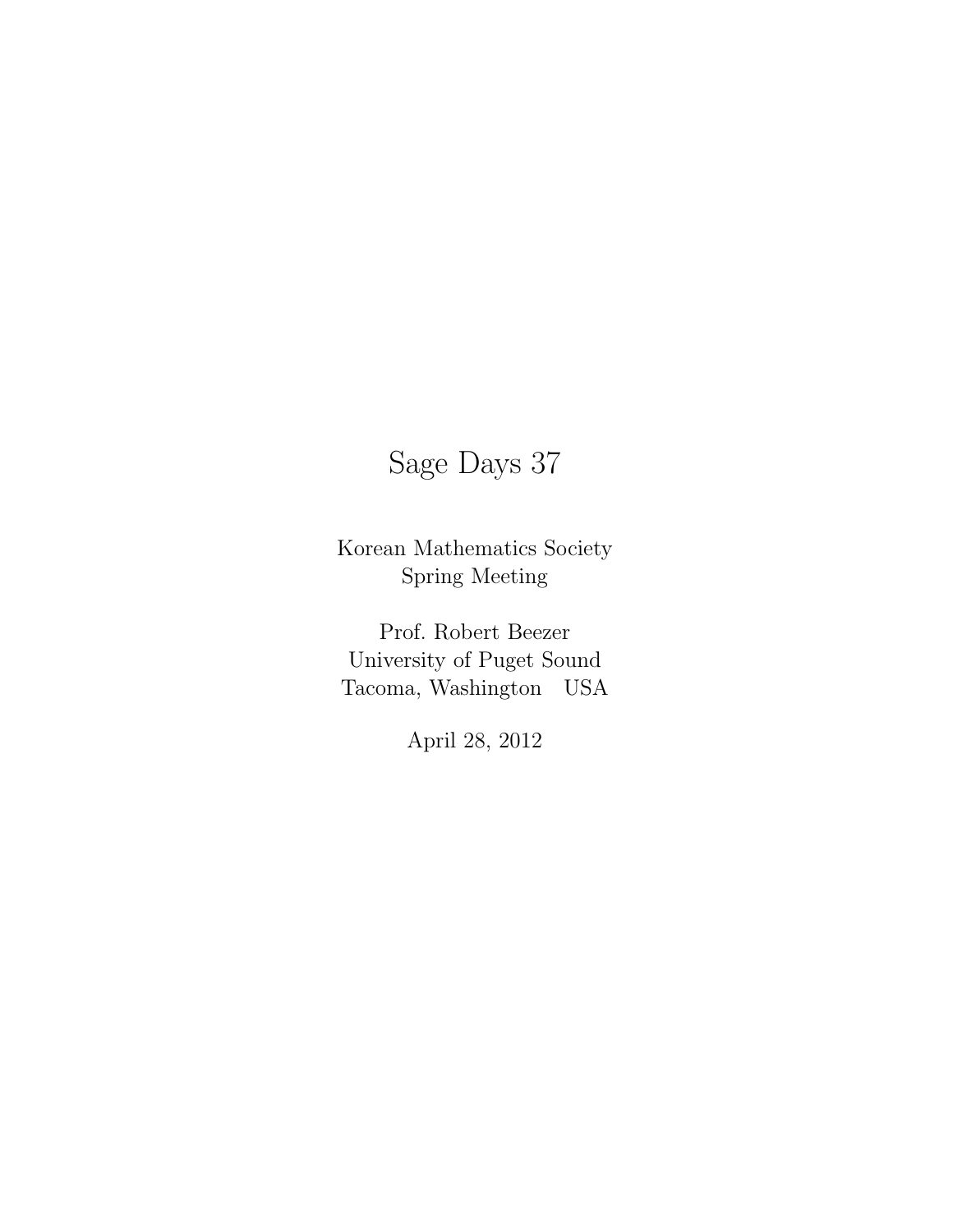# Sage Days 37

Korean Mathematics Society Spring Meeting

Prof. Robert Beezer University of Puget Sound Tacoma, Washington USA

April 28, 2012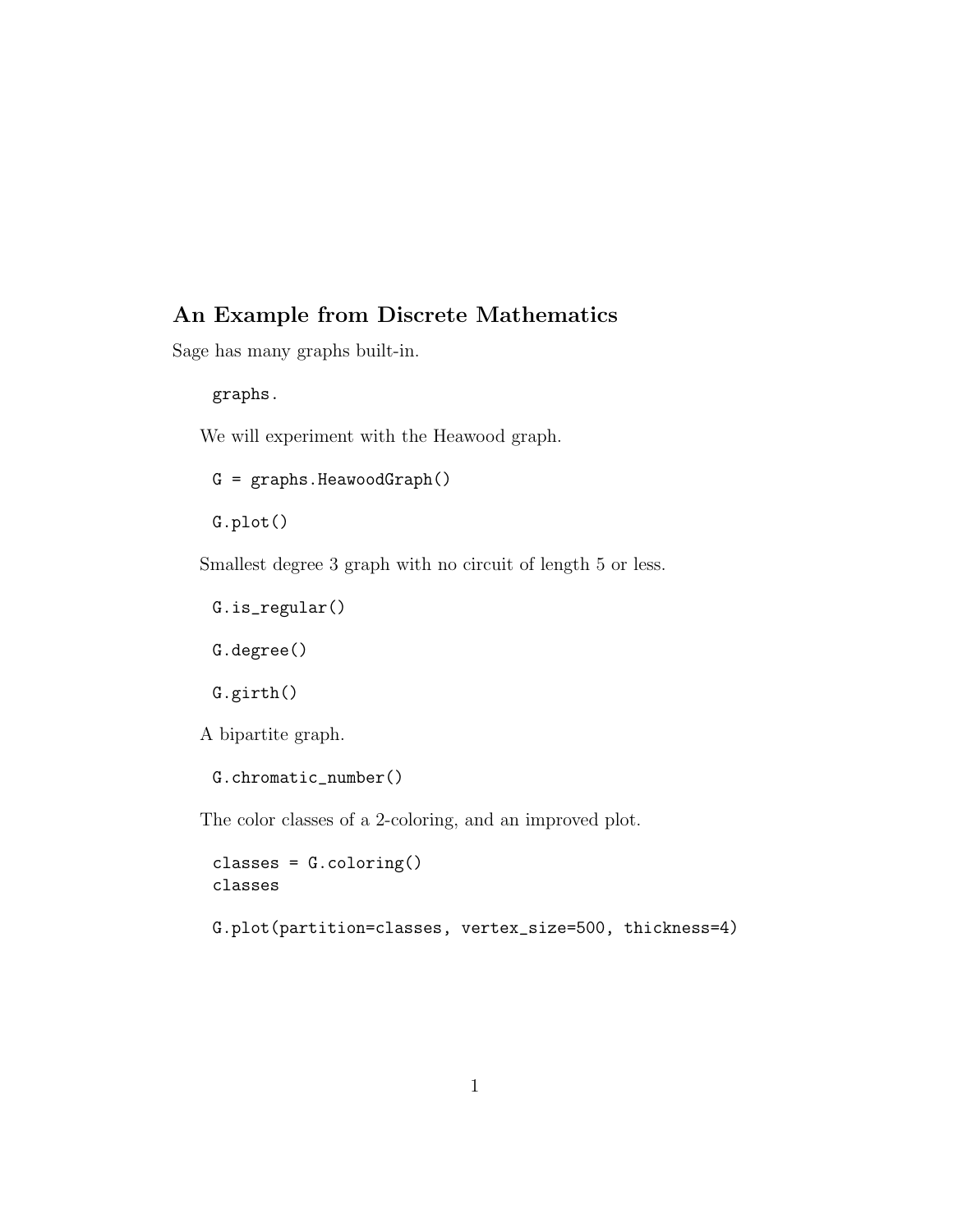### An Example from Discrete Mathematics

Sage has many graphs built-in.

graphs.

We will experiment with the Heawood graph.

G = graphs.HeawoodGraph()

G.plot()

Smallest degree 3 graph with no circuit of length 5 or less.

```
G.is_regular()
```

```
G.degree()
```
G.girth()

A bipartite graph.

```
G.chromatic_number()
```
The color classes of a 2-coloring, and an improved plot.

classes = G.coloring() classes

G.plot(partition=classes, vertex\_size=500, thickness=4)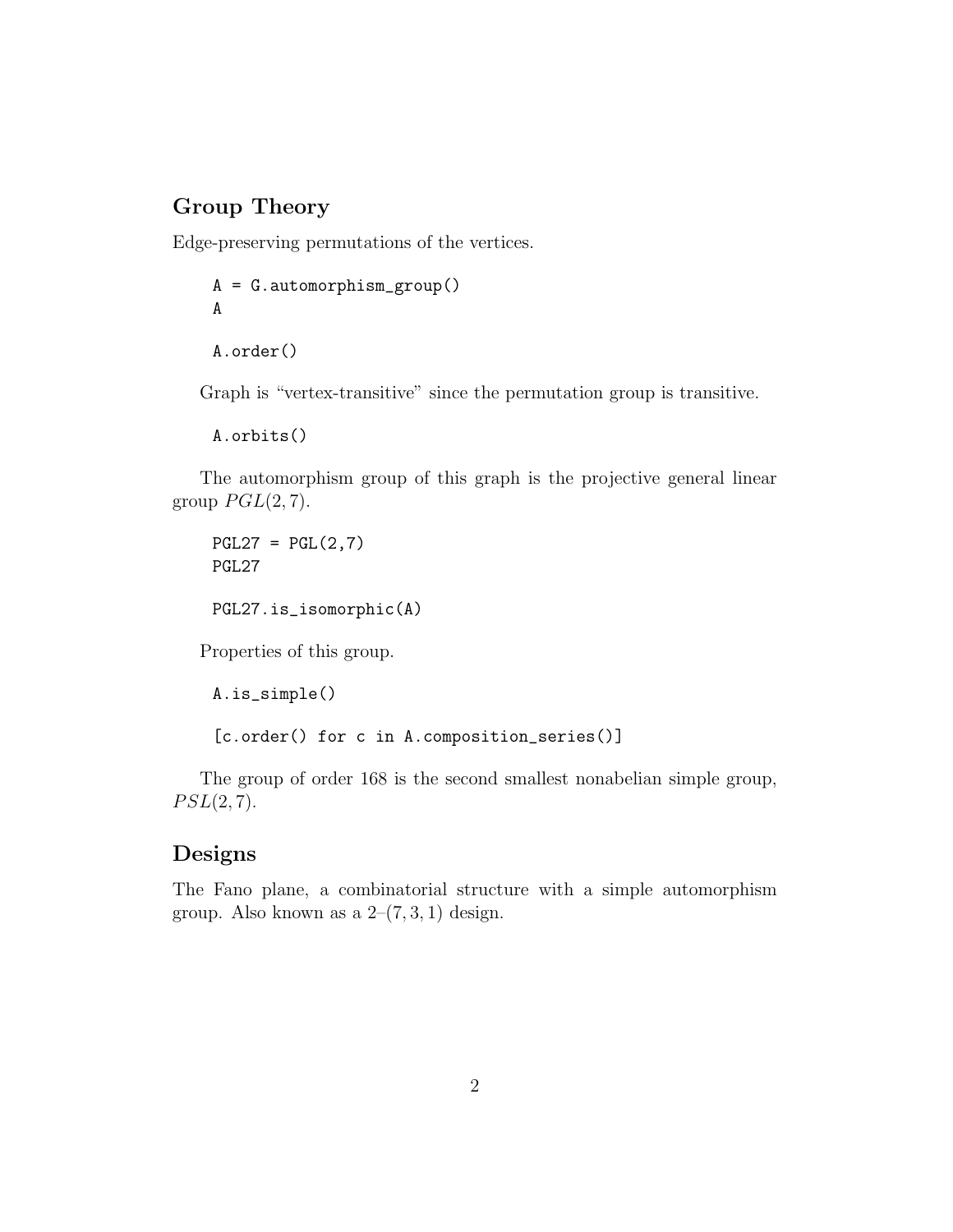## Group Theory

Edge-preserving permutations of the vertices.

```
A = G.automorphism_group()
A
A.order()
```
Graph is "vertex-transitive" since the permutation group is transitive.

A.orbits()

The automorphism group of this graph is the projective general linear group  $PGL(2, 7)$ .

 $PGL27 = PGL(2,7)$ PGL27 PGL27.is\_isomorphic(A)

Properties of this group.

A.is\_simple() [c.order() for c in A.composition\_series()]

The group of order 168 is the second smallest nonabelian simple group,  $PSL(2,7).$ 

#### Designs

The Fano plane, a combinatorial structure with a simple automorphism group. Also known as a  $2-(7,3,1)$  design.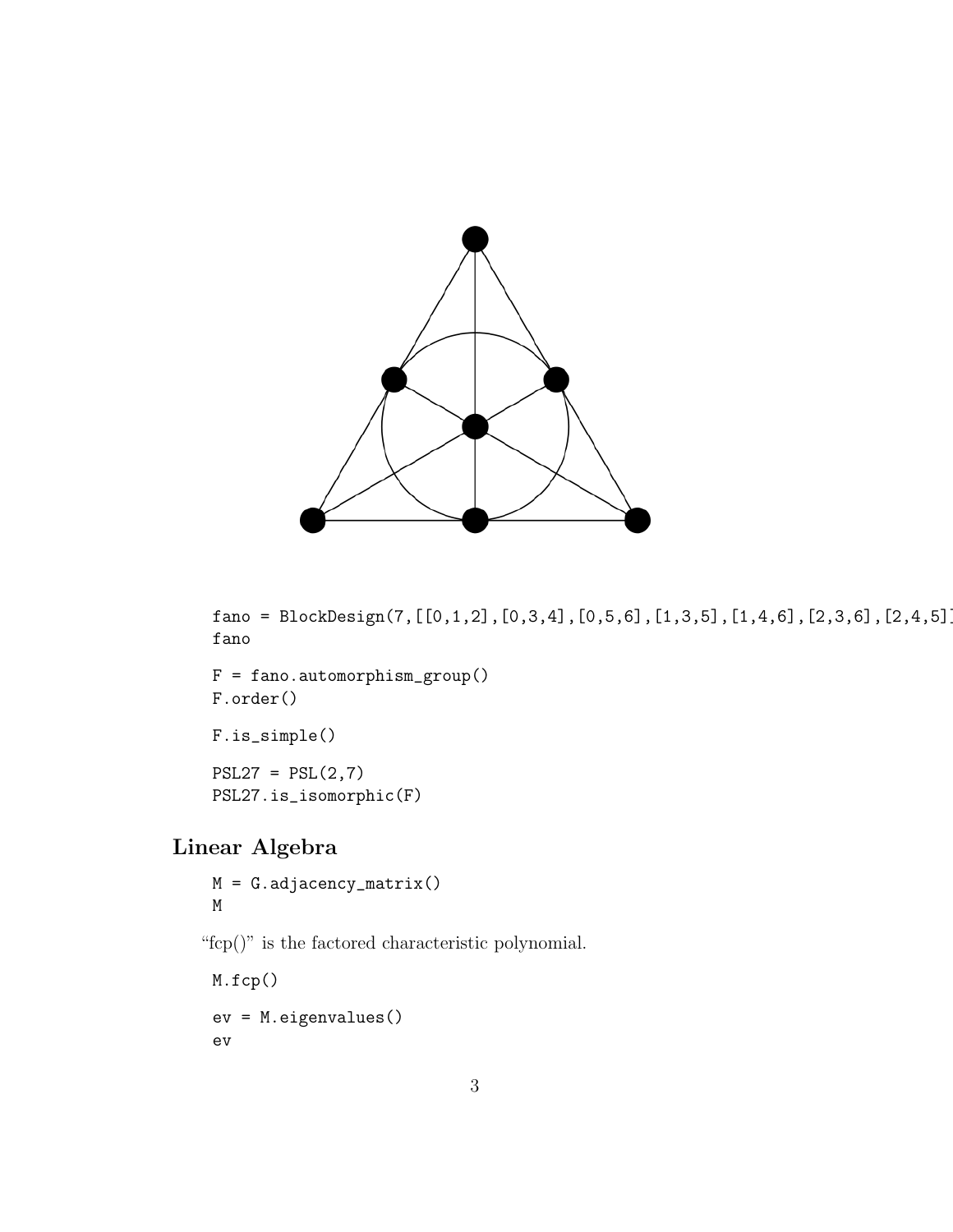

fano = BlockDesign(7,[[0,1,2],[0,3,4],[0,5,6],[1,3,5],[1,4,6],[2,3,6],[2,4,5]]) fano

 $F = fano.automorphism\_group()$ F.order()

F.is\_simple()  $PSL27 = PSL(2,7)$ PSL27.is\_isomorphic(F)

# Linear Algebra

M = G.adjacency\_matrix() M

"fcp()" is the factored characteristic polynomial.

M.fcp() ev = M.eigenvalues() ev